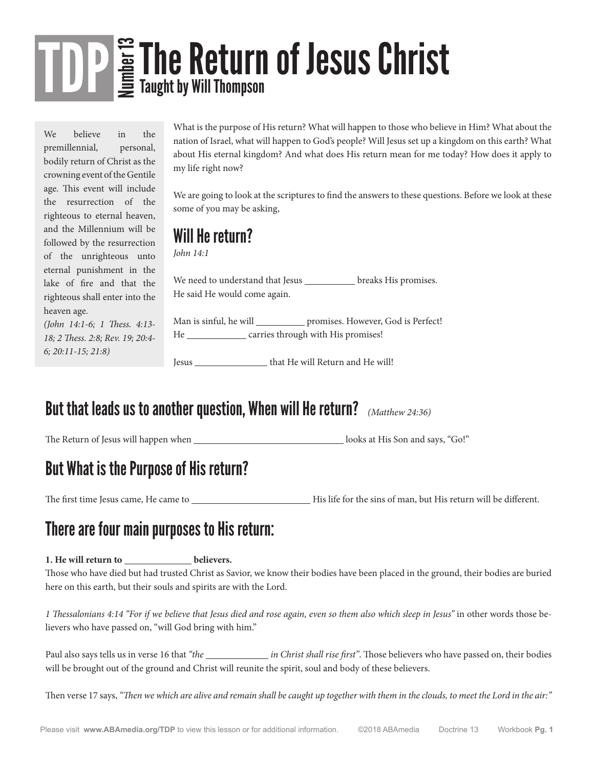We believe in the premillennial, personal, bodily return of Christ as the crowning event of the Gentile age. This event will include the resurrection of the righteous to eternal heaven, and the Millennium will be followed by the resurrection of the unrighteous unto eternal punishment in the lake of fire and that the righteous shall enter into the heaven age.

*(John 14:1-6; 1 Thess. 4:13- 18; 2 Thess. 2:8; Rev. 19; 20:4- 6; 20:11-15; 21:8)*

What is the purpose of His return? What will happen to those who believe in Him? What about the nation of Israel, what will happen to God's people? Will Jesus set up a kingdom on this earth? What about His eternal kingdom? And what does His return mean for me today? How does it apply to my life right now?

We are going to look at the scriptures to find the answers to these questions. Before we look at these some of you may be asking,

#### Will He return?

*John 14:1*

We need to understand that Jesus \_\_\_\_\_\_\_\_\_\_\_ breaks His promises. He said He would come again.

Man is sinful, he will strategies. However, God is Perfect! He \_\_\_\_\_\_\_\_\_\_\_\_\_ carries through with His promises!

Jesus \_\_\_\_\_\_\_\_\_\_\_\_\_\_\_\_\_\_\_ that He will Return and He will!

#### But that leads us to another question, When will He return? *(Matthew 24:36)*

The Return of Jesus will happen when looks at His Son and says, "Go!"

### But What is the Purpose of His return?

The first time Jesus came, He came to  $\Box$  His life for the sins of man, but His return will be different.

### There are four main purposes to His return:

#### 1. He will return to \_\_\_\_\_\_\_\_\_\_\_\_\_\_\_ believers.

Those who have died but had trusted Christ as Savior, we know their bodies have been placed in the ground, their bodies are buried here on this earth, but their souls and spirits are with the Lord.

*1 Thessalonians 4:14 "For if we believe that Jesus died and rose again, even so them also which sleep in Jesus"* in other words those believers who have passed on, "will God bring with him."

Paul also says tells us in verse 16 that "the *in Christ shall rise first"*. Those believers who have passed on, their bodies will be brought out of the ground and Christ will reunite the spirit, soul and body of these believers.

Then verse 17 says, *"Then we which are alive and remain shall be caught up together with them in the clouds, to meet the Lord in the air:"*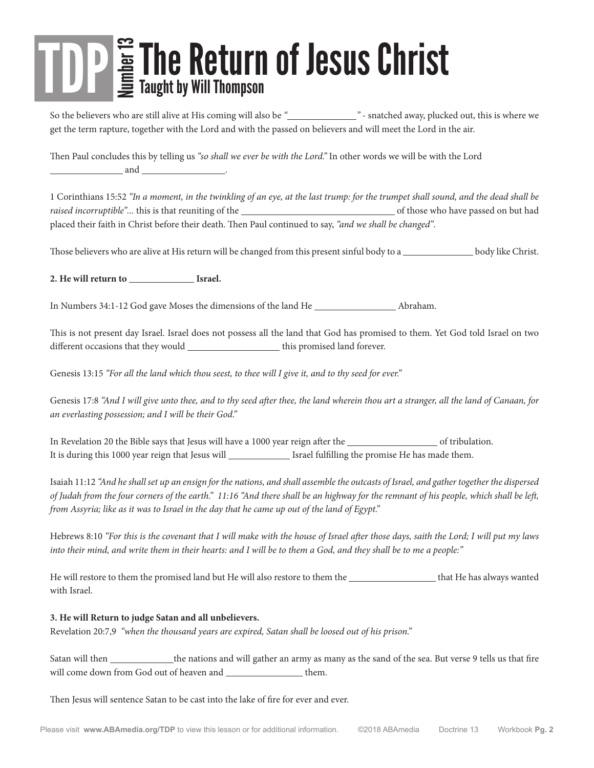So the believers who are still alive at His coming will also be *" "* - snatched away, plucked out, this is where we get the term rapture, together with the Lord and with the passed on believers and will meet the Lord in the air.

Then Paul concludes this by telling us *"so shall we ever be with the Lord."* In other words we will be with the Lord and .

1 Corinthians 15:52 *"In a moment, in the twinkling of an eye, at the last trump: for the trumpet shall sound, and the dead shall be raised incorruptible"...* this is that reuniting of the **contract of the of those who have passed on but had** placed their faith in Christ before their death. Then Paul continued to say, *"and we shall be changed"*.

Those believers who are alive at His return will be changed from this present sinful body to a body like Christ.

**2. He will return to Israel.**

In Numbers 34:1-12 God gave Moses the dimensions of the land He \_\_\_\_\_\_\_\_\_\_\_\_\_\_\_\_\_ Abraham.

This is not present day Israel. Israel does not possess all the land that God has promised to them. Yet God told Israel on two different occasions that they would \_\_\_\_\_\_\_\_\_\_\_\_\_\_\_\_\_\_\_\_\_\_\_ this promised land forever.

Genesis 13:15 *"For all the land which thou seest, to thee will I give it, and to thy seed for ever."*

Genesis 17:8 *"And I will give unto thee, and to thy seed after thee, the land wherein thou art a stranger, all the land of Canaan, for an everlasting possession; and I will be their God."*

In Revelation 20 the Bible says that Jesus will have a 1000 year reign after the order of tribulation. It is during this 1000 year reign that Jesus will **Israel fulfilling** the promise He has made them.

Isaiah 11:12 *"And he shall set up an ensign for the nations, and shall assemble the outcasts of Israel, and gather together the dispersed of Judah from the four corners of the earth." 11:16 "And there shall be an highway for the remnant of his people, which shall be left, from Assyria; like as it was to Israel in the day that he came up out of the land of Egypt."*

Hebrews 8:10 *"For this is the covenant that I will make with the house of Israel after those days, saith the Lord; I will put my laws into their mind, and write them in their hearts: and I will be to them a God, and they shall be to me a people:"*

He will restore to them the promised land but He will also restore to them the wanted that He has always wanted with Israel.

#### **3. He will Return to judge Satan and all unbelievers.**

Revelation 20:7,9 *"when the thousand years are expired, Satan shall be loosed out of his prison."*

Satan will then the nations and will gather an army as many as the sand of the sea. But verse 9 tells us that fire will come down from God out of heaven and  $\_\_\_\_\_\_\_\_\_\_\_\_\_$  them.

Then Jesus will sentence Satan to be cast into the lake of fire for ever and ever.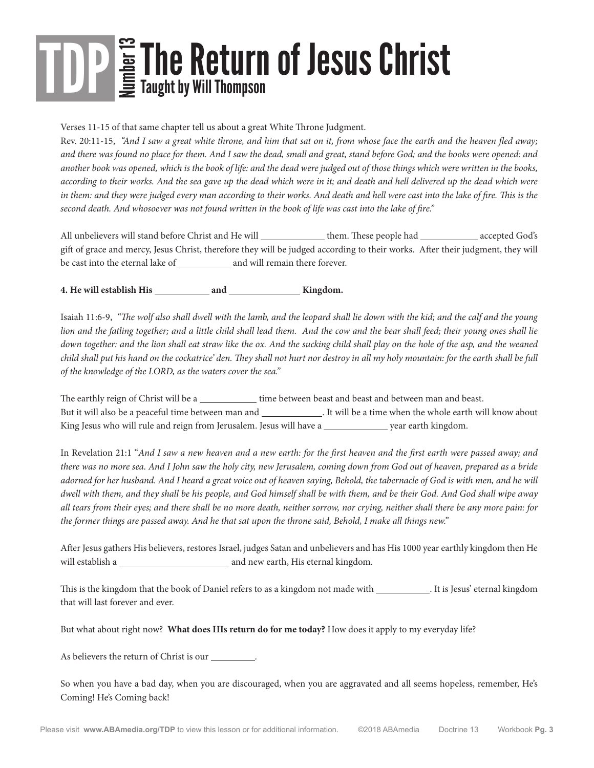Verses 11-15 of that same chapter tell us about a great White Throne Judgment.

Rev. 20:11-15, *"And I saw a great white throne, and him that sat on it, from whose face the earth and the heaven fled away; and there was found no place for them. And I saw the dead, small and great, stand before God; and the books were opened: and another book was opened, which is the book of life: and the dead were judged out of those things which were written in the books, according to their works. And the sea gave up the dead which were in it; and death and hell delivered up the dead which were in them: and they were judged every man according to their works. And death and hell were cast into the lake of fire. This is the second death. And whosoever was not found written in the book of life was cast into the lake of fire."*

All unbelievers will stand before Christ and He will \_\_\_\_\_\_\_\_\_\_\_\_\_ them. These people had \_\_\_\_\_\_\_\_\_\_\_ accepted God's gift of grace and mercy, Jesus Christ, therefore they will be judged according to their works. After their judgment, they will be cast into the eternal lake of and will remain there forever.

**4. He will establish His and Kingdom.** 

Isaiah 11:6-9, *"The wolf also shall dwell with the lamb, and the leopard shall lie down with the kid; and the calf and the young lion and the fatling together; and a little child shall lead them. And the cow and the bear shall feed; their young ones shall lie down together: and the lion shall eat straw like the ox. And the sucking child shall play on the hole of the asp, and the weaned child shall put his hand on the cockatrice' den. They shall not hurt nor destroy in all my holy mountain: for the earth shall be full of the knowledge of the LORD, as the waters cover the sea."*

The earthly reign of Christ will be a \_\_\_\_\_\_\_\_\_\_\_\_\_\_ time between beast and beast and between man and beast. But it will also be a peaceful time between man and \_\_\_\_\_\_\_\_\_\_\_\_\_\_\_. It will be a time when the whole earth will know about King Jesus who will rule and reign from Jerusalem. Jesus will have a will have a wear earth kingdom.

In Revelation 21:1 "*And I saw a new heaven and a new earth: for the first heaven and the first earth were passed away; and there was no more sea. And I John saw the holy city, new Jerusalem, coming down from God out of heaven, prepared as a bride adorned for her husband. And I heard a great voice out of heaven saying, Behold, the tabernacle of God is with men, and he will dwell with them, and they shall be his people, and God himself shall be with them, and be their God. And God shall wipe away all tears from their eyes; and there shall be no more death, neither sorrow, nor crying, neither shall there be any more pain: for the former things are passed away. And he that sat upon the throne said, Behold, I make all things new."*

After Jesus gathers His believers, restores Israel, judges Satan and unbelievers and has His 1000 year earthly kingdom then He will establish a and new earth, His eternal kingdom.

This is the kingdom that the book of Daniel refers to as a kingdom not made with \_\_\_\_\_\_\_\_\_\_\_. It is Jesus' eternal kingdom that will last forever and ever.

But what about right now? **What does HIs return do for me today?** How does it apply to my everyday life?

As believers the return of Christ is our \_\_\_\_\_

So when you have a bad day, when you are discouraged, when you are aggravated and all seems hopeless, remember, He's Coming! He's Coming back!